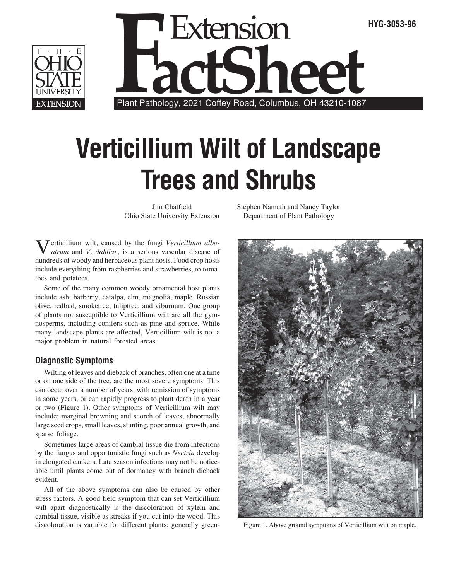



## **Verticillium Wilt of Landscape Trees and Shrubs**

Jim Chatfield Ohio State University Extension

Verticillium wilt, caused by the fungi *Verticillium alboatrum* and *V. dahliae,* is a serious vascular disease of hundreds of woody and herbaceous plant hosts. Food crop hosts include everything from raspberries and strawberries, to tomatoes and potatoes.

Some of the many common woody ornamental host plants include ash, barberry, catalpa, elm, magnolia, maple, Russian olive, redbud, smoketree, tuliptree, and viburnum. One group of plants not susceptible to Verticillium wilt are all the gymnosperms, including conifers such as pine and spruce. While many landscape plants are affected, Verticillium wilt is not a major problem in natural forested areas.

## **Diagnostic Symptoms**

Wilting of leaves and dieback of branches, often one at a time or on one side of the tree, are the most severe symptoms. This can occur over a number of years, with remission of symptoms in some years, or can rapidly progress to plant death in a year or two (Figure 1). Other symptoms of Verticillium wilt may include: marginal browning and scorch of leaves, abnormally large seed crops, small leaves, stunting, poor annual growth, and sparse foliage.

Sometimes large areas of cambial tissue die from infections by the fungus and opportunistic fungi such as *Nectria* develop in elongated cankers. Late season infections may not be noticeable until plants come out of dormancy with branch dieback evident.

All of the above symptoms can also be caused by other stress factors. A good field symptom that can set Verticillium wilt apart diagnostically is the discoloration of xylem and cambial tissue, visible as streaks if you cut into the wood. This discoloration is variable for different plants: generally greenStephen Nameth and Nancy Taylor Department of Plant Pathology



Figure 1. Above ground symptoms of Verticillium wilt on maple.